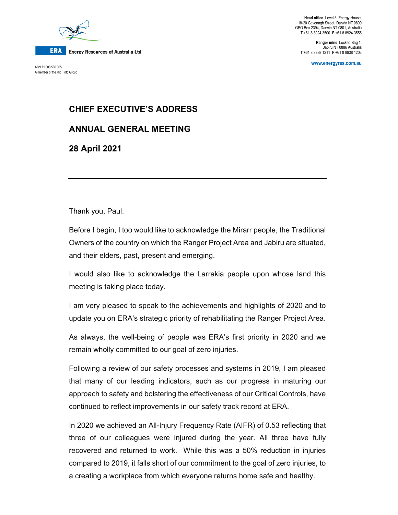

A member of the Rio Tinto Group

**Head office** Level 3, Energy House, 18-20 Cavenagh Street, Darwin NT 0800 GPO Box 2394, Darwin NT 0801, Australia **T** +61 8 8924 3500 **F** +61 8 8924 3555

**Ranger mine** Locked Bag 1, Jabiru NT 0886 Australia **T** +61 8 8938 1211 **F** +61 8 8938 1203

**www.energyres.com.au** ABN 71 008 550 865

## **CHIEF EXECUTIVE'S ADDRESS**

**ANNUAL GENERAL MEETING** 

**28 April 2021** 

Thank you, Paul.

Before I begin, I too would like to acknowledge the Mirarr people, the Traditional Owners of the country on which the Ranger Project Area and Jabiru are situated, and their elders, past, present and emerging.

I would also like to acknowledge the Larrakia people upon whose land this meeting is taking place today.

I am very pleased to speak to the achievements and highlights of 2020 and to update you on ERA's strategic priority of rehabilitating the Ranger Project Area.

As always, the well-being of people was ERA's first priority in 2020 and we remain wholly committed to our goal of zero injuries.

Following a review of our safety processes and systems in 2019, I am pleased that many of our leading indicators, such as our progress in maturing our approach to safety and bolstering the effectiveness of our Critical Controls, have continued to reflect improvements in our safety track record at ERA.

In 2020 we achieved an All-Injury Frequency Rate (AIFR) of 0.53 reflecting that three of our colleagues were injured during the year. All three have fully recovered and returned to work. While this was a 50% reduction in injuries compared to 2019, it falls short of our commitment to the goal of zero injuries, to a creating a workplace from which everyone returns home safe and healthy.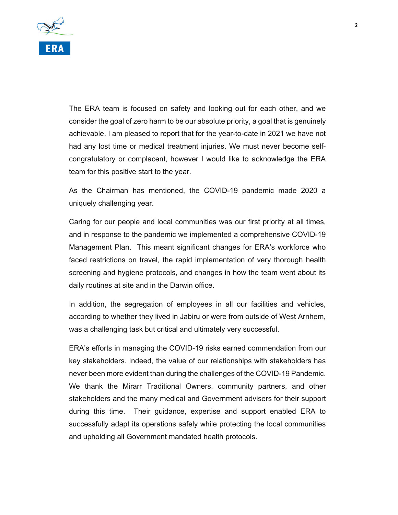

The ERA team is focused on safety and looking out for each other, and we consider the goal of zero harm to be our absolute priority, a goal that is genuinely achievable. I am pleased to report that for the year-to-date in 2021 we have not had any lost time or medical treatment injuries. We must never become selfcongratulatory or complacent, however I would like to acknowledge the ERA team for this positive start to the year.

As the Chairman has mentioned, the COVID-19 pandemic made 2020 a uniquely challenging year.

Caring for our people and local communities was our first priority at all times, and in response to the pandemic we implemented a comprehensive COVID-19 Management Plan. This meant significant changes for ERA's workforce who faced restrictions on travel, the rapid implementation of very thorough health screening and hygiene protocols, and changes in how the team went about its daily routines at site and in the Darwin office.

In addition, the segregation of employees in all our facilities and vehicles, according to whether they lived in Jabiru or were from outside of West Arnhem, was a challenging task but critical and ultimately very successful.

ERA's efforts in managing the COVID-19 risks earned commendation from our key stakeholders. Indeed, the value of our relationships with stakeholders has never been more evident than during the challenges of the COVID-19 Pandemic. We thank the Mirarr Traditional Owners, community partners, and other stakeholders and the many medical and Government advisers for their support during this time. Their guidance, expertise and support enabled ERA to successfully adapt its operations safely while protecting the local communities and upholding all Government mandated health protocols.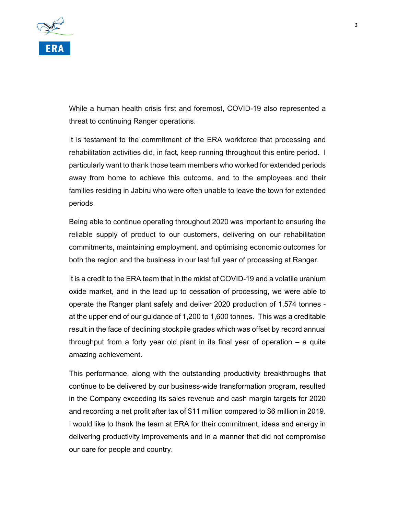

While a human health crisis first and foremost, COVID-19 also represented a threat to continuing Ranger operations.

It is testament to the commitment of the ERA workforce that processing and rehabilitation activities did, in fact, keep running throughout this entire period. I particularly want to thank those team members who worked for extended periods away from home to achieve this outcome, and to the employees and their families residing in Jabiru who were often unable to leave the town for extended periods.

Being able to continue operating throughout 2020 was important to ensuring the reliable supply of product to our customers, delivering on our rehabilitation commitments, maintaining employment, and optimising economic outcomes for both the region and the business in our last full year of processing at Ranger.

It is a credit to the ERA team that in the midst of COVID-19 and a volatile uranium oxide market, and in the lead up to cessation of processing, we were able to operate the Ranger plant safely and deliver 2020 production of 1,574 tonnes at the upper end of our guidance of 1,200 to 1,600 tonnes. This was a creditable result in the face of declining stockpile grades which was offset by record annual throughput from a forty year old plant in its final year of operation – a quite amazing achievement.

This performance, along with the outstanding productivity breakthroughs that continue to be delivered by our business-wide transformation program, resulted in the Company exceeding its sales revenue and cash margin targets for 2020 and recording a net profit after tax of \$11 million compared to \$6 million in 2019. I would like to thank the team at ERA for their commitment, ideas and energy in delivering productivity improvements and in a manner that did not compromise our care for people and country.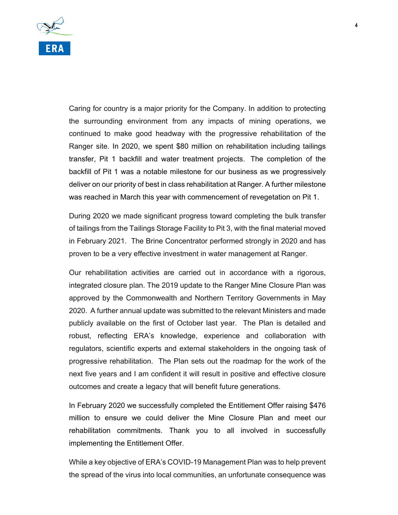

Caring for country is a major priority for the Company. In addition to protecting the surrounding environment from any impacts of mining operations, we continued to make good headway with the progressive rehabilitation of the Ranger site. In 2020, we spent \$80 million on rehabilitation including tailings transfer, Pit 1 backfill and water treatment projects. The completion of the backfill of Pit 1 was a notable milestone for our business as we progressively deliver on our priority of best in class rehabilitation at Ranger. A further milestone was reached in March this year with commencement of revegetation on Pit 1.

During 2020 we made significant progress toward completing the bulk transfer of tailings from the Tailings Storage Facility to Pit 3, with the final material moved in February 2021. The Brine Concentrator performed strongly in 2020 and has proven to be a very effective investment in water management at Ranger.

Our rehabilitation activities are carried out in accordance with a rigorous, integrated closure plan. The 2019 update to the Ranger Mine Closure Plan was approved by the Commonwealth and Northern Territory Governments in May 2020. A further annual update was submitted to the relevant Ministers and made publicly available on the first of October last year. The Plan is detailed and robust, reflecting ERA's knowledge, experience and collaboration with regulators, scientific experts and external stakeholders in the ongoing task of progressive rehabilitation. The Plan sets out the roadmap for the work of the next five years and I am confident it will result in positive and effective closure outcomes and create a legacy that will benefit future generations.

In February 2020 we successfully completed the Entitlement Offer raising \$476 million to ensure we could deliver the Mine Closure Plan and meet our rehabilitation commitments. Thank you to all involved in successfully implementing the Entitlement Offer.

While a key objective of ERA's COVID-19 Management Plan was to help prevent the spread of the virus into local communities, an unfortunate consequence was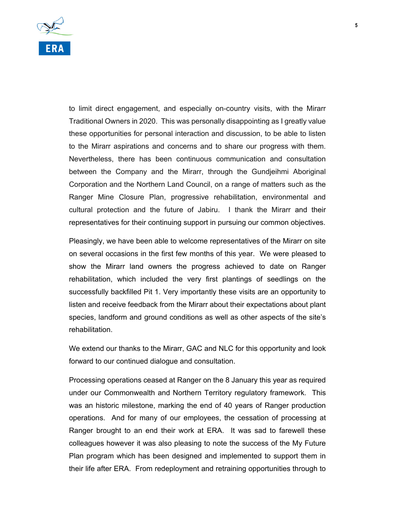

to limit direct engagement, and especially on-country visits, with the Mirarr Traditional Owners in 2020. This was personally disappointing as I greatly value these opportunities for personal interaction and discussion, to be able to listen to the Mirarr aspirations and concerns and to share our progress with them. Nevertheless, there has been continuous communication and consultation between the Company and the Mirarr, through the Gundjeihmi Aboriginal Corporation and the Northern Land Council, on a range of matters such as the Ranger Mine Closure Plan, progressive rehabilitation, environmental and cultural protection and the future of Jabiru. I thank the Mirarr and their representatives for their continuing support in pursuing our common objectives.

Pleasingly, we have been able to welcome representatives of the Mirarr on site on several occasions in the first few months of this year. We were pleased to show the Mirarr land owners the progress achieved to date on Ranger rehabilitation, which included the very first plantings of seedlings on the successfully backfilled Pit 1. Very importantly these visits are an opportunity to listen and receive feedback from the Mirarr about their expectations about plant species, landform and ground conditions as well as other aspects of the site's rehabilitation.

We extend our thanks to the Mirarr, GAC and NLC for this opportunity and look forward to our continued dialogue and consultation.

Processing operations ceased at Ranger on the 8 January this year as required under our Commonwealth and Northern Territory regulatory framework. This was an historic milestone, marking the end of 40 years of Ranger production operations. And for many of our employees, the cessation of processing at Ranger brought to an end their work at ERA. It was sad to farewell these colleagues however it was also pleasing to note the success of the My Future Plan program which has been designed and implemented to support them in their life after ERA. From redeployment and retraining opportunities through to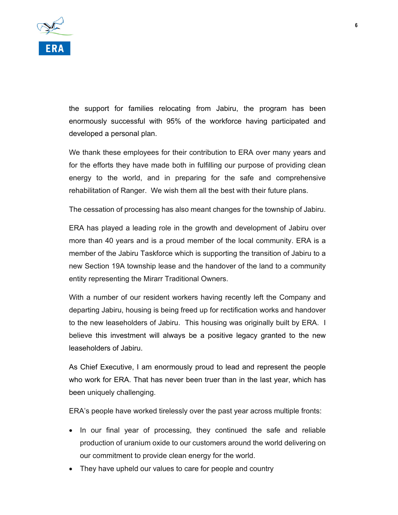

the support for families relocating from Jabiru, the program has been enormously successful with 95% of the workforce having participated and developed a personal plan.

We thank these employees for their contribution to ERA over many years and for the efforts they have made both in fulfilling our purpose of providing clean energy to the world, and in preparing for the safe and comprehensive rehabilitation of Ranger. We wish them all the best with their future plans.

The cessation of processing has also meant changes for the township of Jabiru.

ERA has played a leading role in the growth and development of Jabiru over more than 40 years and is a proud member of the local community. ERA is a member of the Jabiru Taskforce which is supporting the transition of Jabiru to a new Section 19A township lease and the handover of the land to a community entity representing the Mirarr Traditional Owners.

With a number of our resident workers having recently left the Company and departing Jabiru, housing is being freed up for rectification works and handover to the new leaseholders of Jabiru. This housing was originally built by ERA. I believe this investment will always be a positive legacy granted to the new leaseholders of Jabiru.

As Chief Executive, I am enormously proud to lead and represent the people who work for ERA. That has never been truer than in the last year, which has been uniquely challenging.

ERA's people have worked tirelessly over the past year across multiple fronts:

- In our final year of processing, they continued the safe and reliable production of uranium oxide to our customers around the world delivering on our commitment to provide clean energy for the world.
- They have upheld our values to care for people and country